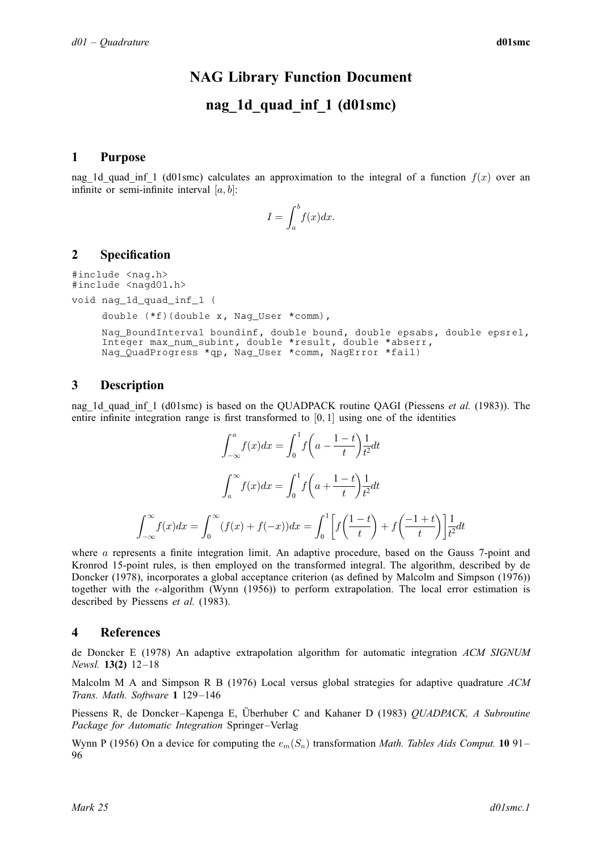# NAG Library Function Document

# nag\_1d\_quad\_inf\_1 (d01smc)

## <span id="page-0-0"></span>1 Purpose

nag\_1d\_quad\_inf\_1 (d01smc) calculates an approximation to the integral of a function  $f(x)$  over an infinite or semi-infinite interval  $[a, b]$ :

$$
I = \int_{a}^{b} f(x) dx.
$$

## 2 Specification

#include <nag.h> #include <nagd01.h>

void nag\_1d\_quad\_inf\_1 (

```
double (*f)(double x, Nag_User *comm),
```
Nag\_BoundInterval [boundinf,](#page-1-0) double [bound](#page-1-0), double [epsabs,](#page-1-0) double [epsrel](#page-1-0), Integer [max\\_num\\_subint,](#page-1-0) double [\\*result](#page-1-0), double \*[abserr,](#page-2-0) Nag\_QuadProgress [\\*qp,](#page-2-0) Nag\_User [\\*comm](#page-2-0), NagError \*[fail\)](#page-2-0)

## 3 Description

nag\_1d\_quad\_inf\_1 (d01smc) is based on the QUADPACK routine OAGI (Piessens *et al.* (1983)). The entire infinite integration range is first transformed to  $[0, 1]$  using one of the identities

$$
\int_{-\infty}^{a} f(x)dx = \int_{0}^{1} f\left(a - \frac{1-t}{t}\right) \frac{1}{t^2} dt
$$

$$
\int_{a}^{\infty} f(x)dx = \int_{0}^{1} f\left(a + \frac{1-t}{t}\right) \frac{1}{t^2} dt
$$

$$
\int_{-\infty}^{\infty} f(x)dx = \int_{0}^{\infty} (f(x) + f(-x))dx = \int_{0}^{1} \left[ f\left(\frac{1-t}{t}\right) + f\left(\frac{-1+t}{t}\right) \right] \frac{1}{t^2} dt
$$

where a represents a finite integration limit. An adaptive procedure, based on the Gauss 7-point and Kronrod 15-point rules, is then employed on the transformed integral. The algorithm, described by de Doncker (1978), incorporates a global acceptance criterion (as defined by Malcolm and Simpson (1976)) together with the  $\epsilon$ -algorithm (Wynn (1956)) to perform extrapolation. The local error estimation is described by Piessens et al. (1983).

### 4 References

de Doncker E (1978) An adaptive extrapolation algorithm for automatic integration ACM SIGNUM Newsl. 13(2) 12–18

Malcolm M A and Simpson R B (1976) Local versus global strategies for adaptive quadrature  $ACM$ Trans. Math. Software 1 129–146

Piessens R, de Doncker-Kapenga E, Überhuber C and Kahaner D (1983) QUADPACK, A Subroutine Package for Automatic Integration Springer–Verlag

Wynn P (1956) On a device for computing the  $e_m(S_n)$  transformation Math. Tables Aids Comput. 10 91– 96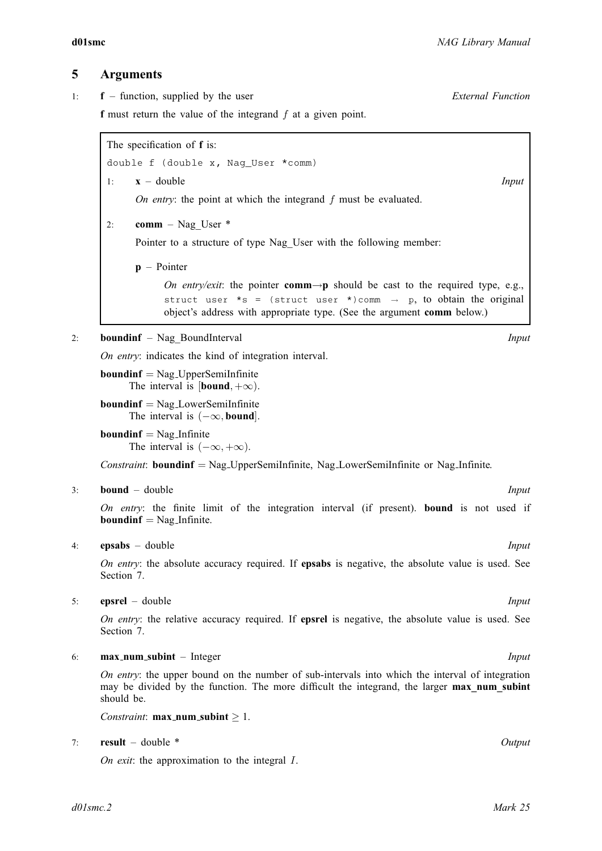## <span id="page-1-0"></span>5 Arguments

1: f – function, supplied by the user External Function f must return the value of the integrand  $f$  at a given point.

The specification of **f** is:

double f (double x, Nag\_User \*comm) 1:  $x - \text{double}$  Input On entry: the point at which the integrand f must be evaluated.

2: comm – Nag\_User \*

Pointer to a structure of type Nag User with the following member:

p – Pointer

On entry/exit: the pointer **comm** $\rightarrow$ **p** should be cast to the required type, e.g., struct user  $*_s =$  (struct user  $*_s$ ) comm  $\rightarrow$  p, to obtain the original object's address with appropriate type. (See the argument [comm](#page-2-0) below.)

#### 2: **boundinf** – Nag BoundInterval *Input*

On entry: indicates the kind of integration interval.

 $boundinf = Nag\_UpperSemilnfinite$ The interval is  $[bound, +\infty)$ .

 $boundinf = Nag_LowerSemilnfinite$ The interval is  $(-\infty, \text{bound}]$ .

**boundinf**  $=$  Nag<sub>Infinite</sub> The interval is  $(-\infty, +\infty)$ .

Constraint: boundinf = Nag UpperSemiInfinite, Nag LowerSemiInfinite or Nag Infinite.

#### 3: **bound** – double Input

On entry: the finite limit of the integration interval (if present). bound is not used if **boundinf**  $=$  Nag<sub>Infinite.</sub>

#### 4: **epsabs** – double Input

On entry: the absolute accuracy required. If **epsabs** is negative, the absolute value is used. See [Section 7](#page-3-0).

5: **epsrel** – double *Input* 

On entry: the relative accuracy required. If **epsrel** is negative, the absolute value is used. See [Section 7](#page-3-0).

#### 6: **max\_num\_subint** – Integer **Input is a set of the set of the set of the set of the set of the set of the set of the set of the set of the set of the set of the set of the set of the set of the set of the set of the set**

On entry: the upper bound on the number of sub-intervals into which the interval of integration may be divided by the function. The more difficult the integrand, the larger max num subint should be.

Constraint:  $\text{max\_num\_subint} \geq 1$ .

## 7: result – double \* Output

On exit: the approximation to the integral  $I$ .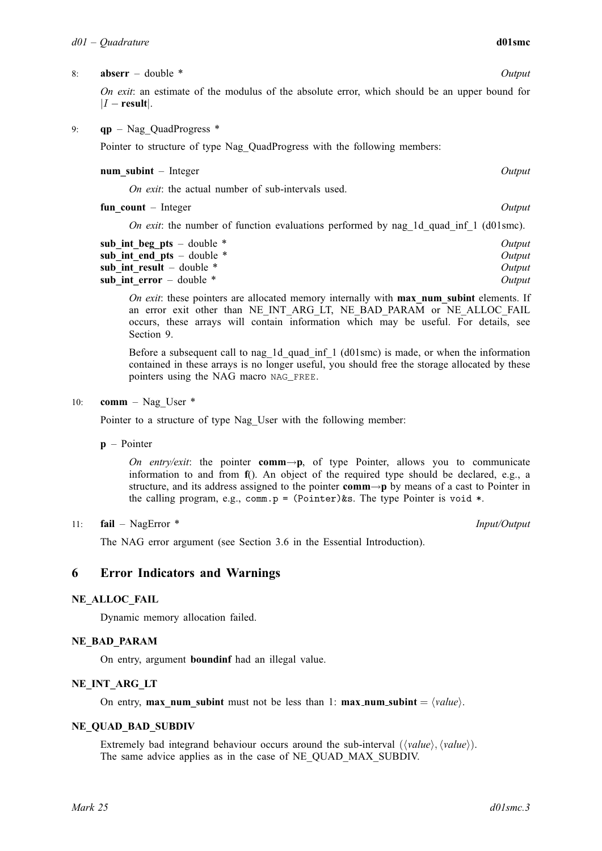#### <span id="page-2-0"></span>8: **abserr** – double \* Output

On exit: an estimate of the modulus of the absolute error, which should be an upper bound for  $|I - \text{result}|$ .

#### 9: **qp** – Nag QuadProgress  $*$

Pointer to structure of type Nag QuadProgress with the following members:

#### num subint – Integer  $Output$

On exit: the actual number of sub-intervals used.

fun count – Integer Output

On exit: the number of function evaluations performed by nag\_1d\_quad\_inf\_1 (d01smc).

| sub int beg pts – double $*$ | Output |
|------------------------------|--------|
| sub int end pts – double $*$ | Output |
| sub int result – double $*$  | Output |
| sub int error $-$ double $*$ | Output |

On exit: these pointers are allocated memory internally with  $max$  num subint elements. If an error exit other than NE\_INT\_ARG\_LT, NE\_BAD\_PARAM or NE\_ALLOC\_FAIL occurs, these arrays will contain information which may be useful. For details, see [Section 9.](#page-3-0)

Before a subsequent call to nag\_1d\_quad\_inf\_1 (d01smc) is made, or when the information contained in these arrays is no longer useful, you should free the storage allocated by these pointers using the NAG macro NAG\_FREE.

#### 10: **comm** – Nag User  $*$

Pointer to a structure of type Nag\_User with the following member:

p – Pointer

On entry/exit: the pointer comm $\rightarrow p$ , of type Pointer, allows you to communicate information to and from [f](#page-1-0)(). An object of the required type should be declared, e.g., a structure, and its address assigned to the pointer **comm** $\rightarrow$ **p** by means of a cast to Pointer in the calling program, e.g., comm.p =  $(Pointer)$ &s. The type Pointer is void \*.

#### 11: **fail** – NagError \* **Input/Output**

The NAG error argument (see Section 3.6 in the Essential Introduction).

### 6 Error Indicators and Warnings

#### NE\_ALLOC\_FAIL

Dynamic memory allocation failed.

#### NE\_BAD\_PARAM

On entry, argument [boundinf](#page-1-0) had an illegal value.

#### NE\_INT\_ARG\_LT

On entry, max num [subint](#page-1-0) must not be less than 1: max num subint =  $\langle value \rangle$ .

#### NE\_QUAD\_BAD\_SUBDIV

Extremely bad integrand behaviour occurs around the sub-interval  $(\langle value \rangle, \langle value \rangle)$ . The same advice applies as in the case of [NE\\_QUAD\\_MAX\\_SUBDIV.](#page-3-0)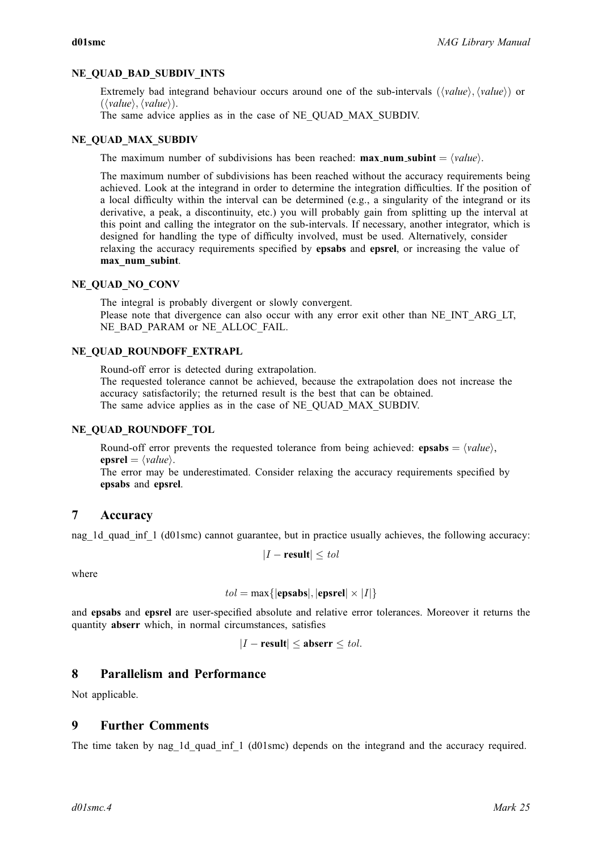### <span id="page-3-0"></span>NE\_OUAD\_BAD\_SUBDIV\_INTS

Extremely bad integrand behaviour occurs around one of the sub-intervals  $(\langle value \rangle, \langle value \rangle)$  or  $(\langle value \rangle, \langle value \rangle).$ 

The same advice applies as in the case of NE\_QUAD\_MAX\_SUBDIV.

#### NE\_QUAD\_MAX\_SUBDIV

The maximum number of subdivisions has been reached: **max\_num\_[subint](#page-1-0)** =  $\langle value \rangle$ .

The maximum number of subdivisions has been reached without the accuracy requirements being achieved. Look at the integrand in order to determine the integration difficulties. If the position of a local difficulty within the interval can be determined (e.g., a singularity of the integrand or its derivative, a peak, a discontinuity, etc.) you will probably gain from splitting up the interval at this point and calling the integrator on the sub-intervals. If necessary, another integrator, which is designed for handling the type of difficulty involved, must be used. Alternatively, consider relaxing the accuracy requirements specified by [epsabs](#page-1-0) and [epsrel](#page-1-0), or increasing the value of [max\\_num\\_subint](#page-1-0).

#### NE\_OUAD\_NO\_CONV

The integral is probably divergent or slowly convergent. Please note that divergence can also occur with any error exit other than [NE\\_INT\\_ARG\\_LT,](#page-2-0) [NE\\_BAD\\_PARAM](#page-2-0) or [NE\\_ALLOC\\_FAIL.](#page-2-0)

### NE\_OUAD\_ROUNDOFF\_EXTRAPL

Round-off error is detected during extrapolation.

The requested tolerance cannot be achieved, because the extrapolation does not increase the accuracy satisfactorily; the returned result is the best that can be obtained. The same advice applies as in the case of NE\_QUAD\_MAX\_SUBDIV.

#### NE\_QUAD\_ROUNDOFF\_TOL

Round-off error prevents the requested tolerance from being achieved: [epsabs](#page-1-0) =  $\langle value \rangle$ , [epsrel](#page-1-0)  $= \langle value \rangle$ .

The error may be underestimated. Consider relaxing the accuracy requirements specified by [epsabs](#page-1-0) and [epsrel](#page-1-0).

## 7 Accuracy

nag\_1d\_quad\_inf\_1 (d01smc) cannot guarantee, but in practice usually achieves, the following accuracy:

$$
|I - \text{result}| \leq tol
$$

where

$$
tol = \max\{|\text{epsabs}|, |\text{epsrel}| \times |I|\}
$$

and [epsabs](#page-1-0) and [epsrel](#page-1-0) are user-specified absolute and relative error tolerances. Moreover it returns the quantity [abserr](#page-2-0) which, in normal circumstances, satisfies

$$
|I - \text{result}| \le \text{abserr} \le \text{tol}.
$$

## 8 Parallelism and Performance

Not applicable.

## 9 Further Comments

The time taken by nag\_1d\_quad\_inf\_1 (d01smc) depends on the integrand and the accuracy required.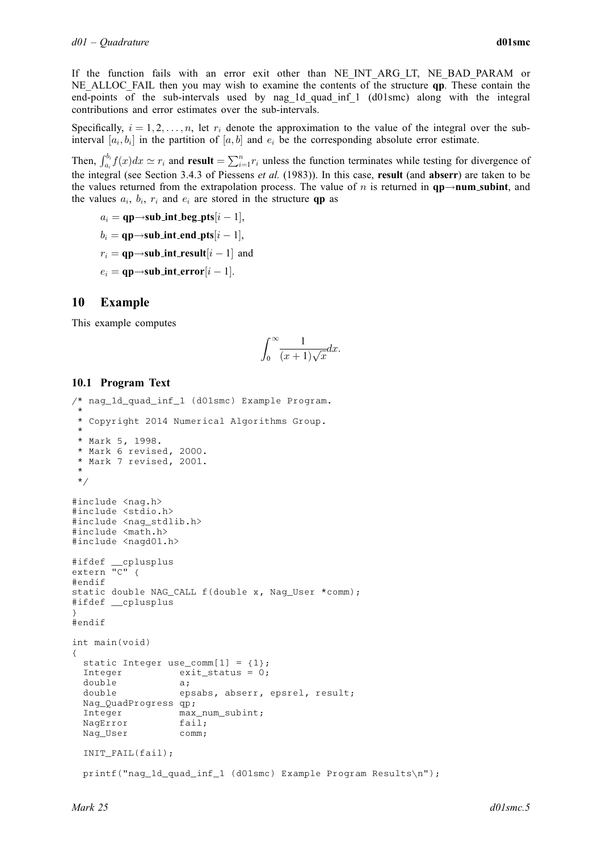If the function fails with an error exit other than [NE\\_INT\\_ARG\\_LT, NE\\_BAD\\_PARAM](#page-2-0) or NE ALLOC FAIL then you may wish to examine the contents of the structure **[qp](#page-2-0)**. These contain the end-points of the sub-intervals used by nag\_1d\_quad\_inf\_1 (d01smc) along with the integral contributions and error estimates over the sub-intervals.

Specifically,  $i = 1, 2, \ldots, n$ , let  $r_i$  denote the approximation to the value of the integral over the subinterval  $[a_i, b_i]$  in the partition of  $[a, b]$  and  $e_i$  be the corresponding absolute error estimate.

Then,  $\int_{a_i}^{b_i} f(x)dx \simeq r_i$  and [result](#page-1-0)  $=\sum_{i=1}^n r_i$  unless the function terminates while testing for divergence of the integral (see Section 3.4.3 of [Piessens](#page-0-0) *et al.* (1983)). In this case, **[result](#page-1-0)** (and **[abserr](#page-2-0)**) are taken to be the values returned from the extrapolation process. The value of n is returned in  $qp\rightarrow num\_subint$ , and the values  $a_i$ ,  $b_i$ ,  $r_i$  and  $e_i$  are stored in the structure **[qp](#page-2-0)** as

```
a_i = \textbf{qp} {\rightarrow} \textbf{sub\_int\_beg\_pts}[i-1],b_i = \mathbf{qp}{\rightarrow}\mathbf{sub\_int\_end\_pts}[i-1],r_i = \mathbf{qp} {\rightarrow} \mathbf{sub\_int\_result}[i-1] and
e_i = \mathbf{qp}{\rightarrow}\mathbf{sub\_int\_error}[i-1].
```
## 10 Example

This example computes

$$
\int_0^\infty \frac{1}{(x+1)\sqrt{x}} dx.
$$

## 10.1 Program Text

```
/* nag_1d_quad_inf_1 (d01smc) Example Program.
 *
* Copyright 2014 Numerical Algorithms Group.
 *
* Mark 5, 1998.
* Mark 6 revised, 2000.
* Mark 7 revised, 2001.
 *
 */
#include <nag.h>
#include <stdio.h>
#include <nag_stdlib.h>
#include <math.h>
#include <nagd01.h>
#ifdef __cplusplus
extern "C" {
#endif
static double NAG_CALL f(double x, Nag_User *comm);
#ifdef __cplusplus
}
#endif
int main(void)
{
 static Integer use_comm[1] = {1};
 Integer exit_status = 0;
 double a;<br>double ep
                  epsabs, abserr, epsrel, result;
 Nag_QuadProgress qp;
 Integer max_num_subint;
 NagError fail;
 Nag_User comm;
 INIT_FAIL(fail);
 printf("nag_1d_quad_inf_1 (d01smc) Example Program Results\n");
```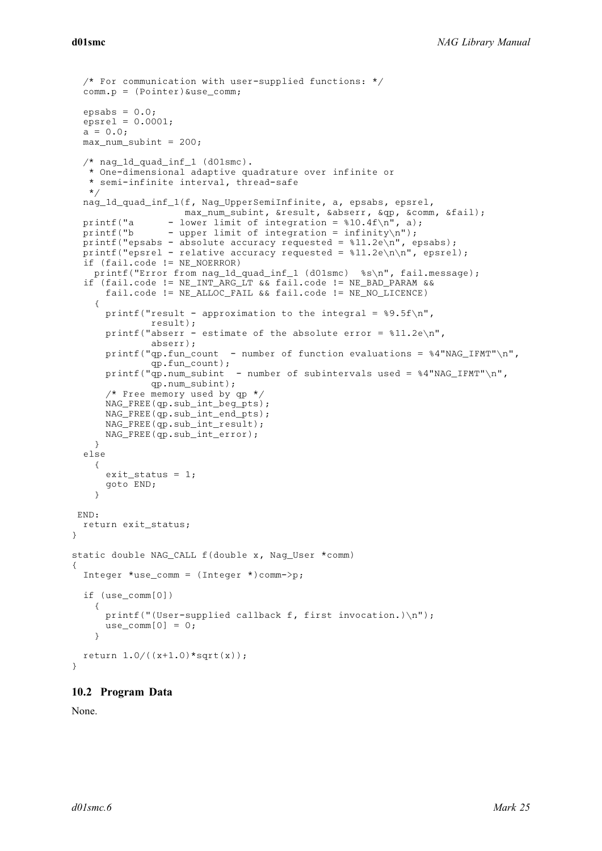```
/* For communication with user-supplied functions: */
 comm.p = (Pointer)&use_comm;
 epsabs = 0.0;
 epsrel = 0.0001;a = 0.0;max num subint = 200;
 /* nag_1d_quad_inf_1 (d01smc).
  * One-dimensional adaptive quadrature over infinite or
  * semi-infinite interval, thread-safe
  */
 nag_1d_quad_inf_1(f, Nag_UpperSemiInfinite, a, epsabs, epsrel,
                   max_num_subint, &result, &abserr, &qp, &comm, &fail);
 printf("a - lower limit of integration = 810.4f\n", a);
 printf("b - upper limit of integration = infinity\n");
 printf("epsabs - absolute accuracy requested = *11.2e\n", epsabs);
 printf("epsrel - relative accuracy requested = \frac{1}{2}1.2e\n\n", epsrel);
 if (fail.code != NE_NOERROR)
    printf("Error from nag_1d_quad_inf_1 (d01smc) %s\n", fail.message);
  if (fail.code != NE_INT_ARG_LT && fail.code != NE_BAD_PARAM &&
     fail.code != NE_ALLOC_FAIL && fail.code != NE_NO_LICENCE)
    {
     printf("result - approximation to the integral = 89.5f\n",
              result);
     printf("abserr - estimate of the absolute error = 11.2e\",
              abserr);
     printf("qp.fun_count - number of function evaluations = %4"NAG_IIFMT"\n",qp.fun_count);
     printf("qp.num_subint - number of subintervals used = 4"NAG_IFMT"\n",
              qp.num_subint);
      /* Free memory used by qp */NAG_FREE(qp.sub_int_beg_pts);
     NAG_FREE(qp.sub_int_end_pts);
     NAG_FREE(qp.sub_int_result);
     NAG_FREE(qp.sub_int_error);
   }
 else
    {
     exit_status = 1;
     goto END;
    }
END:
 return exit_status;
static double NAG_CALL f(double x, Nag_User *comm)
 Integer *use_comm = (Integer *)comm->p;
 if (use_comm[0])
    {
     printf("(User-supplied callback f, first invocation.)\n");
     use_{comm}[0] = 0;}
 return 1.0/((x+1.0)*sqrt(x));
```
#### 10.2 Program Data

None.

 $\mathfrak{r}$ 

{

}